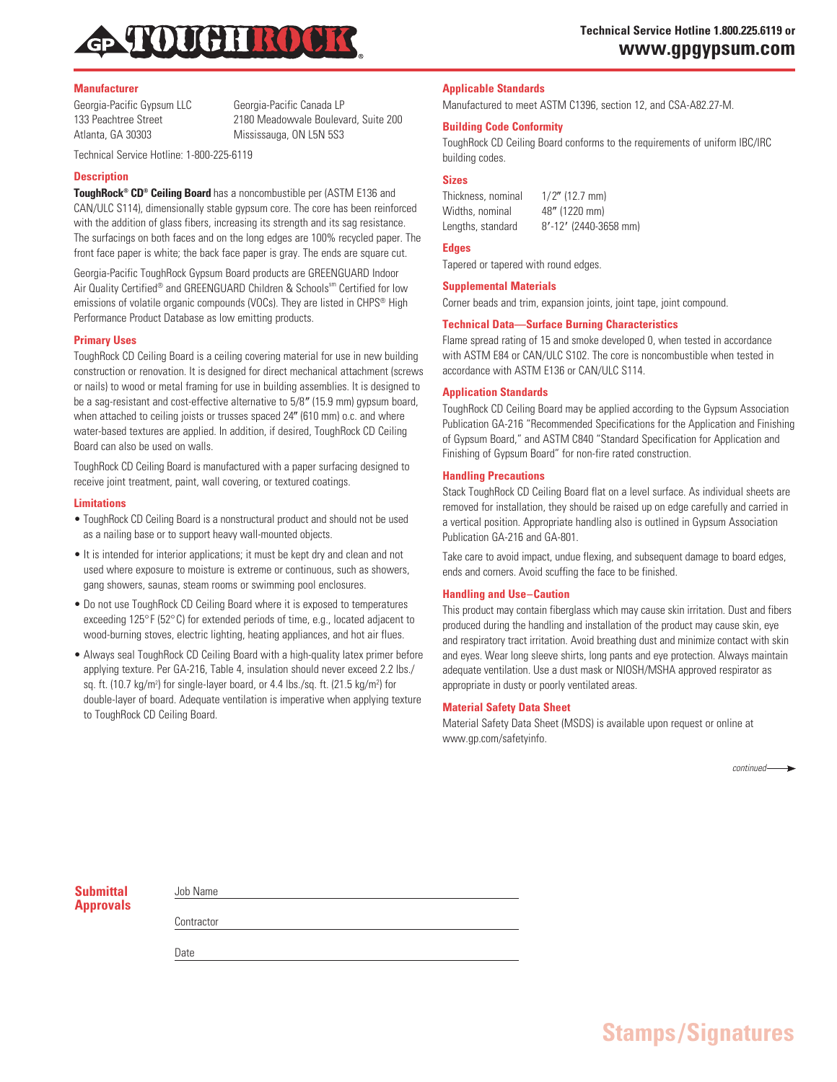

#### **Manufacturer**

Georgia-Pacific Gypsum LLC Georgia-Pacific Canada LP 133 Peachtree Street 2180 Meadowvale Boulevard, Suite 200

Atlanta, GA 30303 Mississauga, ON L5N 5S3

Technical Service Hotline: 1-800-225-6119

#### **Description**

**ToughRock® CD® Ceiling Board** has a noncombustible per (ASTM E136 and CAN/ULC S114), dimensionally stable gypsum core. The core has been reinforced with the addition of glass fibers, increasing its strength and its sag resistance. The surfacings on both faces and on the long edges are 100% recycled paper. The front face paper is white; the back face paper is gray. The ends are square cut.

Georgia-Pacific ToughRock Gypsum Board products are GREENGUARD Indoor Air Quality Certified® and GREENGUARD Children & Schools<sup>sm</sup> Certified for low emissions of volatile organic compounds (VOCs). They are listed in CHPS<sup>®</sup> High Performance Product Database as low emitting products.

### **Primary Uses**

ToughRock CD Ceiling Board is a ceiling covering material for use in new building construction or renovation. It is designed for direct mechanical attachment (screws or nails) to wood or metal framing for use in building assemblies. It is designed to be a sag-resistant and cost-effective alternative to 5/8" (15.9 mm) gypsum board, when attached to ceiling joists or trusses spaced 24" (610 mm) o.c. and where water-based textures are applied. In addition, if desired, ToughRock CD Ceiling Board can also be used on walls.

ToughRock CD Ceiling Board is manufactured with a paper surfacing designed to receive joint treatment, paint, wall covering, or textured coatings.

#### **Limitations**

- ToughRock CD Ceiling Board is a nonstructural product and should not be used as a nailing base or to support heavy wall-mounted objects.
- It is intended for interior applications; it must be kept dry and clean and not used where exposure to moisture is extreme or continuous, such as showers, gang showers, saunas, steam rooms or swimming pool enclosures.
- Do not use ToughRock CD Ceiling Board where it is exposed to temperatures exceeding 125°F (52°C) for extended periods of time, e.g., located adjacent to wood-burning stoves, electric lighting, heating appliances, and hot air flues.
- Always seal ToughRock CD Ceiling Board with a high-quality latex primer before applying texture. Per GA-216, Table 4, insulation should never exceed 2.2 lbs./ sq. ft. (10.7 kg/m<sup>2</sup>) for single-layer board, or 4.4 lbs./sq. ft. (21.5 kg/m<sup>2</sup>) for double-layer of board. Adequate ventilation is imperative when applying texture to ToughRock CD Ceiling Board.

# **Applicable Standards**

Manufactured to meet ASTM C1396, section 12, and CSA-A82.27-M.

## **Building Code Conformity**

ToughRock CD Ceiling Board conforms to the requirements of uniform IBC/IRC building codes.

**Sizes**

Thickness, nominal  $1/2$ " (12.7 mm) Widths, nominal 48" (1220 mm) Lengths, standard 8'-12' (2440-3658 mm)

## **Edges**

Tapered or tapered with round edges.

#### **Supplemental Materials**

Corner beads and trim, expansion joints, joint tape, joint compound.

### **Technical Data—Surface Burning Characteristics**

Flame spread rating of 15 and smoke developed 0, when tested in accordance with ASTM E84 or CAN/ULC S102. The core is noncombustible when tested in accordance with ASTM E136 or CAN/ULC S114.

### **Application Standards**

ToughRock CD Ceiling Board may be applied according to the Gypsum Association Publication GA-216 "Recommended Specifications for the Application and Finishing of Gypsum Board," and ASTM C840 "Standard Specification for Application and Finishing of Gypsum Board" for non-fire rated construction.

### **Handling Precautions**

Stack ToughRock CD Ceiling Board flat on a level surface. As individual sheets are removed for installation, they should be raised up on edge carefully and carried in a vertical position. Appropriate handling also is outlined in Gypsum Association Publication GA-216 and GA-801.

Take care to avoid impact, undue flexing, and subsequent damage to board edges, ends and corners. Avoid scuffing the face to be finished.

#### **Handling and Use–Caution**

This product may contain fiberglass which may cause skin irritation. Dust and fibers produced during the handling and installation of the product may cause skin, eye and respiratory tract irritation. Avoid breathing dust and minimize contact with skin and eyes. Wear long sleeve shirts, long pants and eye protection. Always maintain adequate ventilation. Use a dust mask or NIOSH/MSHA approved respirator as appropriate in dusty or poorly ventilated areas.

### **Material Safety Data Sheet**

Material Safety Data Sheet (MSDS) is available upon request or online at www.gp.com/safetyinfo.

 *continued*

| <b>Submittal</b> |  |
|------------------|--|
| <b>Approvals</b> |  |

| Job Name   |  |  |  |
|------------|--|--|--|
|            |  |  |  |
| Contractor |  |  |  |

**Date**